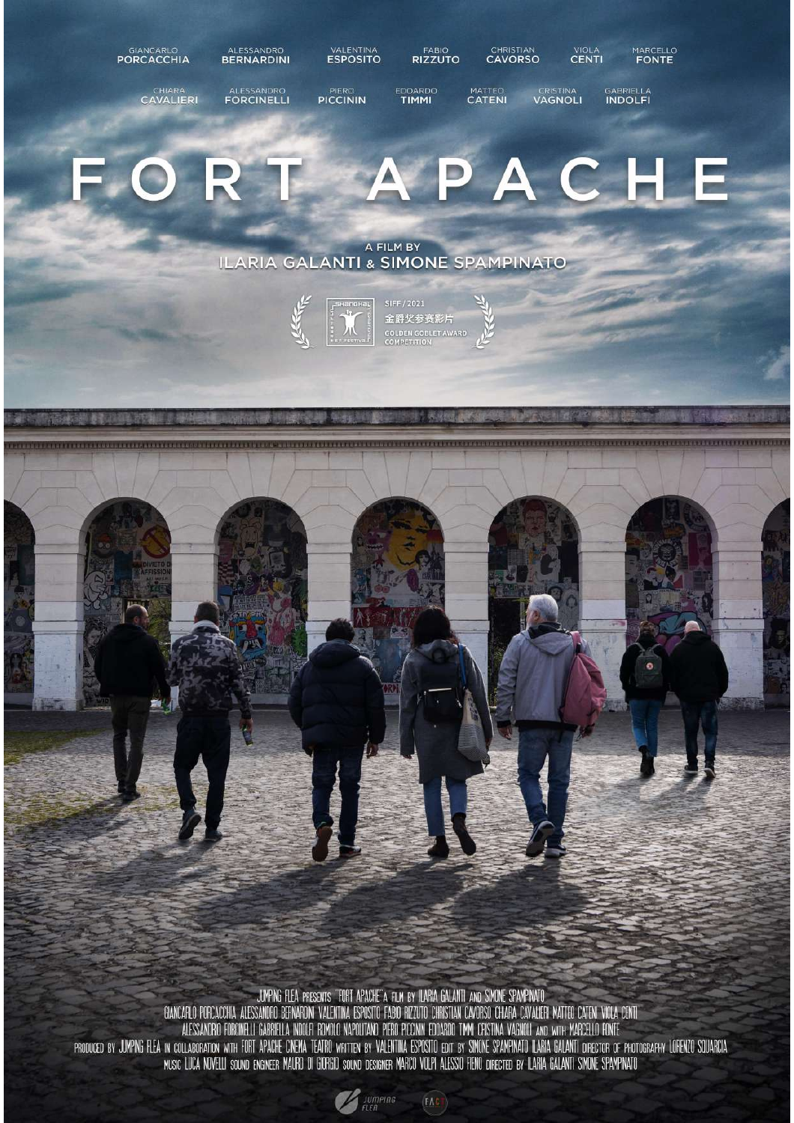

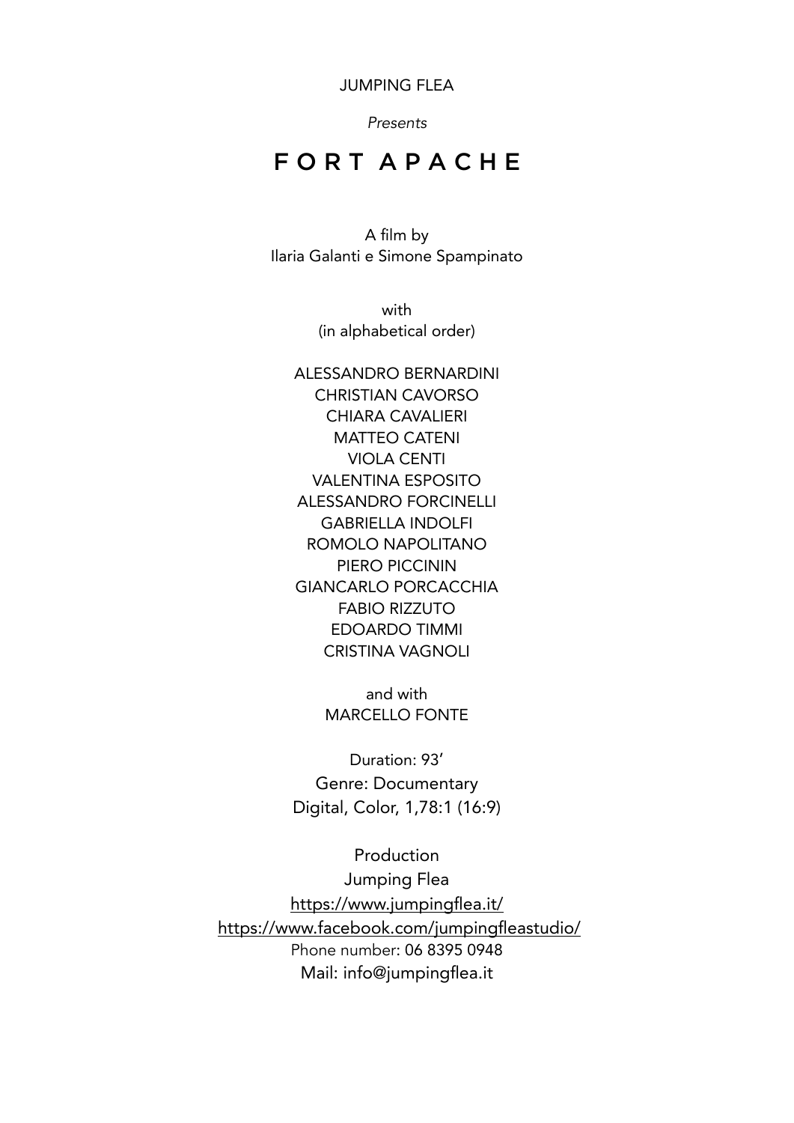JUMPING FLEA

*Presents* 

# FORT APACHE

A film by Ilaria Galanti e Simone Spampinato

> with (in alphabetical order)

ALESSANDRO BERNARDINI CHRISTIAN CAVORSO CHIARA CAVALIERI MATTEO CATENI VIOLA CENTI VALENTINA ESPOSITO ALESSANDRO FORCINELLI GABRIELLA INDOLFI ROMOLO NAPOLITANO PIERO PICCININ GIANCARLO PORCACCHIA FABIO RIZZUTO EDOARDO TIMMI CRISTINA VAGNOLI

> and with MARCELLO FONTE

Duration: 93' Genre: Documentary Digital, Color, 1,78:1 (16:9)

Production Jumping Flea <https://www.jumpingflea.it/> <https://www.facebook.com/jumpingfleastudio/> Phone number: [06 8395 0948](https://www.google.com/search?q=jumping+flea&oq=jumping+flea&aqs=chrome.0.69i59j0l5j69i61j69i65.1719j0j7&sourceid=chrome&ie=UTF-8#) Mail: info@jumpingflea.it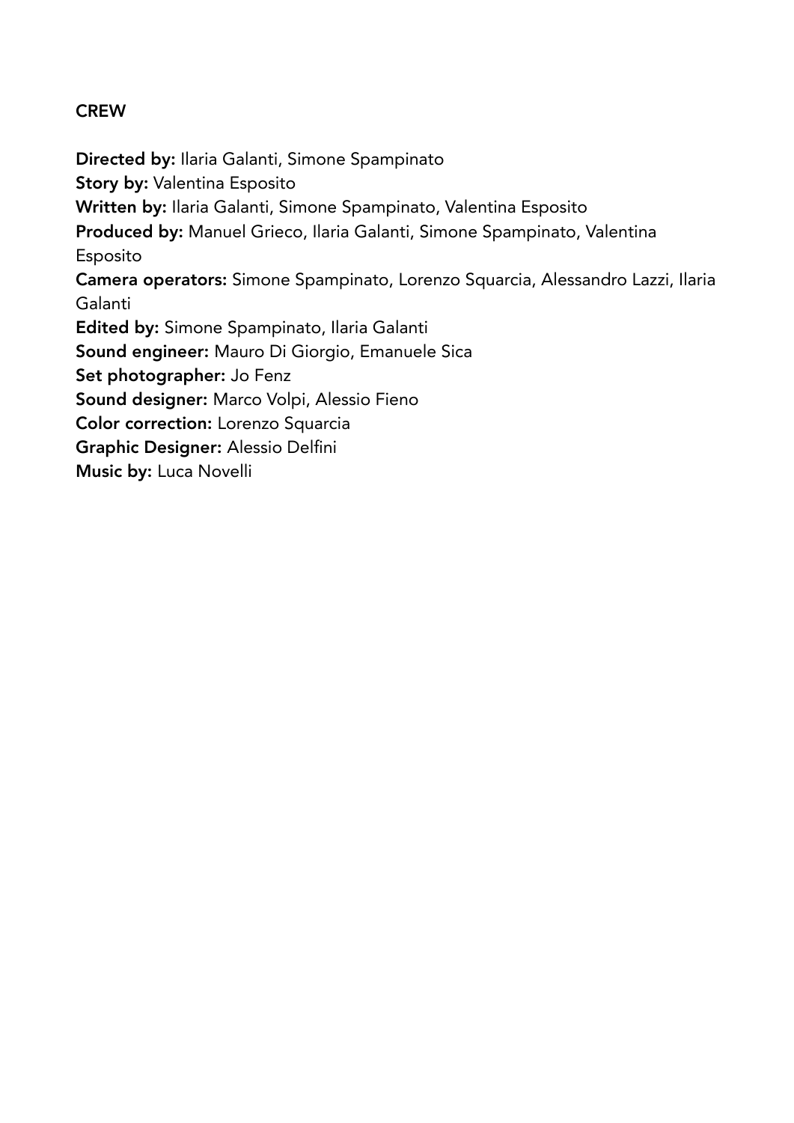#### **CREW**

Directed by: Ilaria Galanti, Simone Spampinato Story by: Valentina Esposito Written by: Ilaria Galanti, Simone Spampinato, Valentina Esposito Produced by: Manuel Grieco, Ilaria Galanti, Simone Spampinato, Valentina Esposito Camera operators: Simone Spampinato, Lorenzo Squarcia, Alessandro Lazzi, Ilaria Galanti Edited by: Simone Spampinato, Ilaria Galanti Sound engineer: Mauro Di Giorgio, Emanuele Sica Set photographer: Jo Fenz Sound designer: Marco Volpi, Alessio Fieno Color correction: Lorenzo Squarcia Graphic Designer: Alessio Delfini Music by: Luca Novelli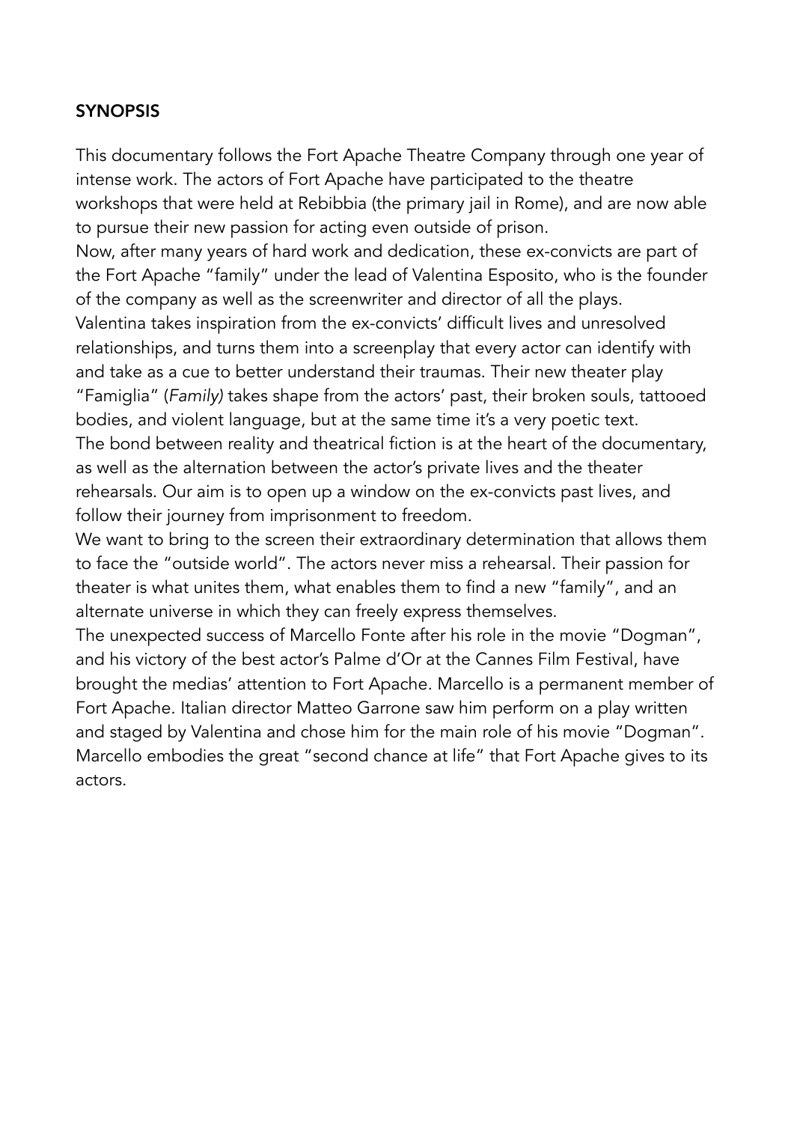# **SYNOPSIS**

This documentary follows the Fort Apache Theatre Company through one year of intense work. The actors of Fort Apache have participated to the theatre workshops that were held at Rebibbia (the primary jail in Rome), and are now able to pursue their new passion for acting even outside of prison.

Now, after many years of hard work and dedication, these ex-convicts are part of the Fort Apache "family" under the lead of Valentina Esposito, who is the founder of the company as well as the screenwriter and director of all the plays.

Valentina takes inspiration from the ex-convicts' difficult lives and unresolved relationships, and turns them into a screenplay that every actor can identify with and take as a cue to better understand their traumas. Their new theater play "Famiglia" (*Family)* takes shape from the actors' past, their broken souls, tattooed bodies, and violent language, but at the same time it's a very poetic text. The bond between reality and theatrical fiction is at the heart of the documentary, as well as the alternation between the actor's private lives and the theater rehearsals. Our aim is to open up a window on the ex-convicts past lives, and follow their journey from imprisonment to freedom.

We want to bring to the screen their extraordinary determination that allows them to face the "outside world". The actors never miss a rehearsal. Their passion for theater is what unites them, what enables them to find a new "family", and an alternate universe in which they can freely express themselves.

The unexpected success of Marcello Fonte after his role in the movie "Dogman", and his victory of the best actor's Palme d'Or at the Cannes Film Festival, have brought the medias' attention to Fort Apache. Marcello is a permanent member of Fort Apache. Italian director Matteo Garrone saw him perform on a play written and staged by Valentina and chose him for the main role of his movie "Dogman". Marcello embodies the great "second chance at life" that Fort Apache gives to its actors.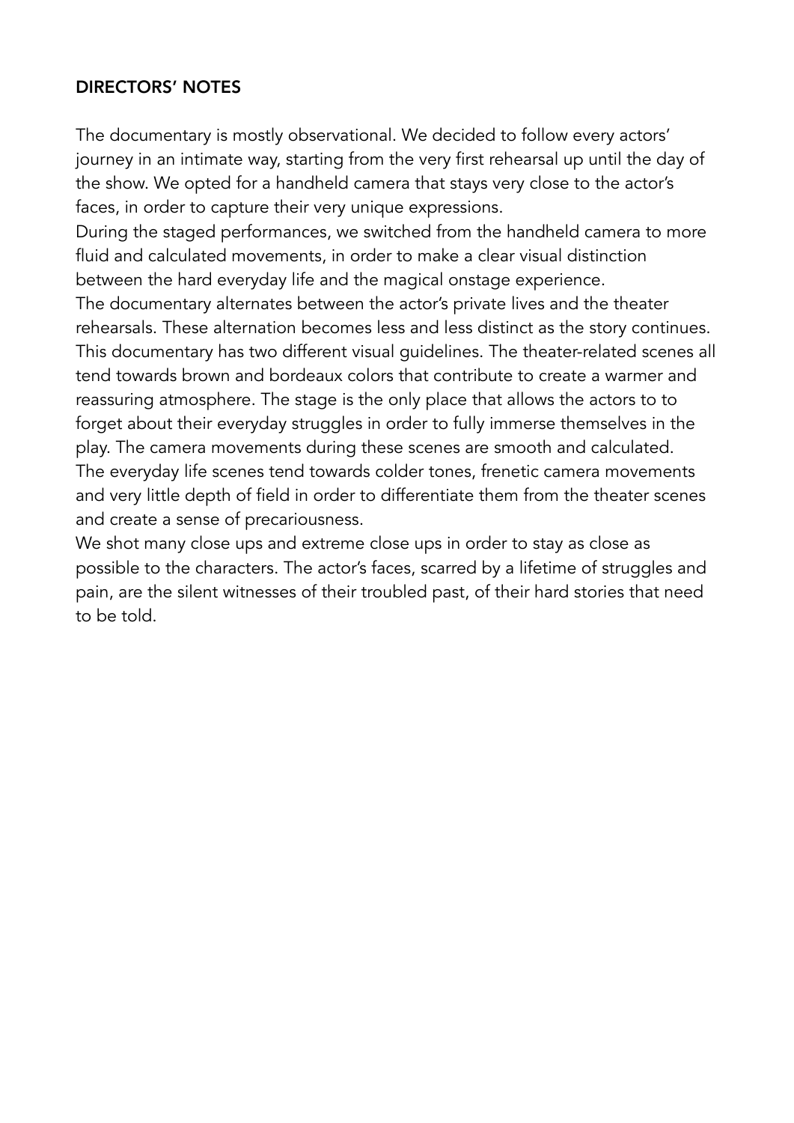# DIRECTORS' NOTES

The documentary is mostly observational. We decided to follow every actors' journey in an intimate way, starting from the very first rehearsal up until the day of the show. We opted for a handheld camera that stays very close to the actor's faces, in order to capture their very unique expressions.

During the staged performances, we switched from the handheld camera to more fluid and calculated movements, in order to make a clear visual distinction between the hard everyday life and the magical onstage experience.

The documentary alternates between the actor's private lives and the theater rehearsals. These alternation becomes less and less distinct as the story continues. This documentary has two different visual guidelines. The theater-related scenes all tend towards brown and bordeaux colors that contribute to create a warmer and reassuring atmosphere. The stage is the only place that allows the actors to to forget about their everyday struggles in order to fully immerse themselves in the play. The camera movements during these scenes are smooth and calculated. The everyday life scenes tend towards colder tones, frenetic camera movements and very little depth of field in order to differentiate them from the theater scenes and create a sense of precariousness.

We shot many close ups and extreme close ups in order to stay as close as possible to the characters. The actor's faces, scarred by a lifetime of struggles and pain, are the silent witnesses of their troubled past, of their hard stories that need to be told.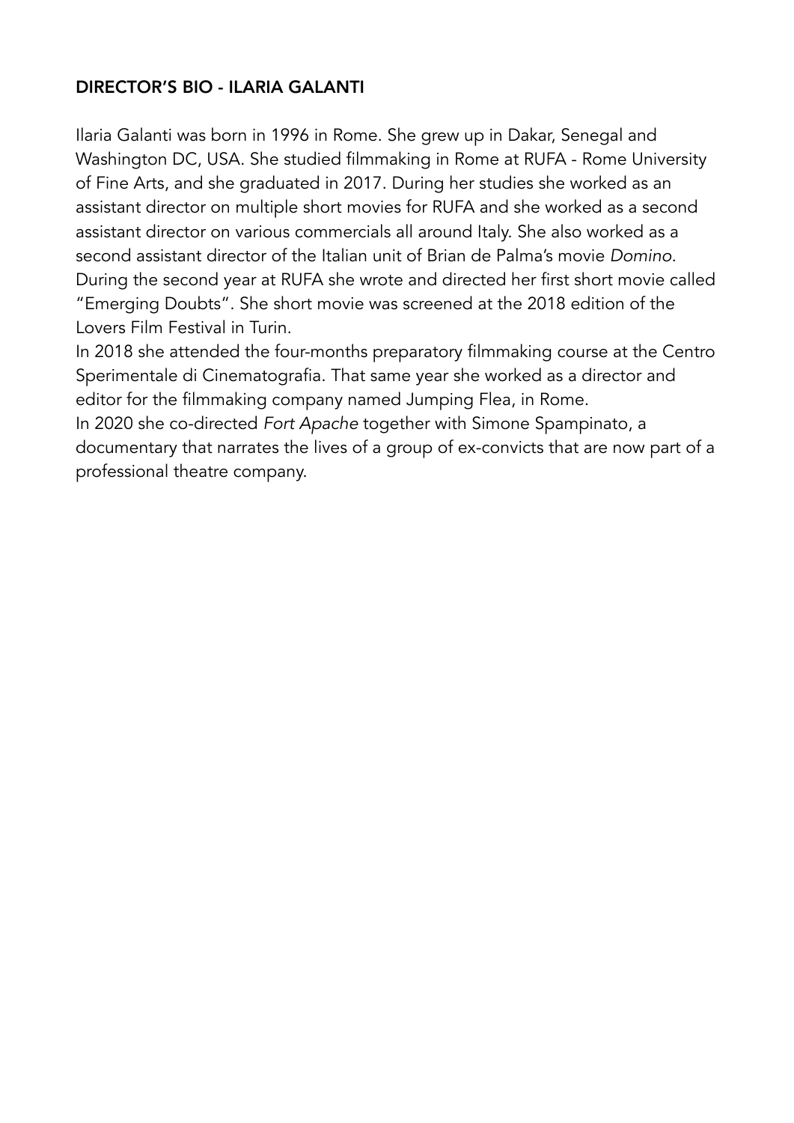# DIRECTOR'S BIO - ILARIA GALANTI

Ilaria Galanti was born in 1996 in Rome. She grew up in Dakar, Senegal and Washington DC, USA. She studied filmmaking in Rome at RUFA - Rome University of Fine Arts, and she graduated in 2017. During her studies she worked as an assistant director on multiple short movies for RUFA and she worked as a second assistant director on various commercials all around Italy. She also worked as a second assistant director of the Italian unit of Brian de Palma's movie *Domino*. During the second year at RUFA she wrote and directed her first short movie called "Emerging Doubts". She short movie was screened at the 2018 edition of the Lovers Film Festival in Turin.

In 2018 she attended the four-months preparatory filmmaking course at the Centro Sperimentale di Cinematografia. That same year she worked as a director and editor for the filmmaking company named Jumping Flea, in Rome.

In 2020 she co-directed *Fort Apache* together with Simone Spampinato, a documentary that narrates the lives of a group of ex-convicts that are now part of a professional theatre company.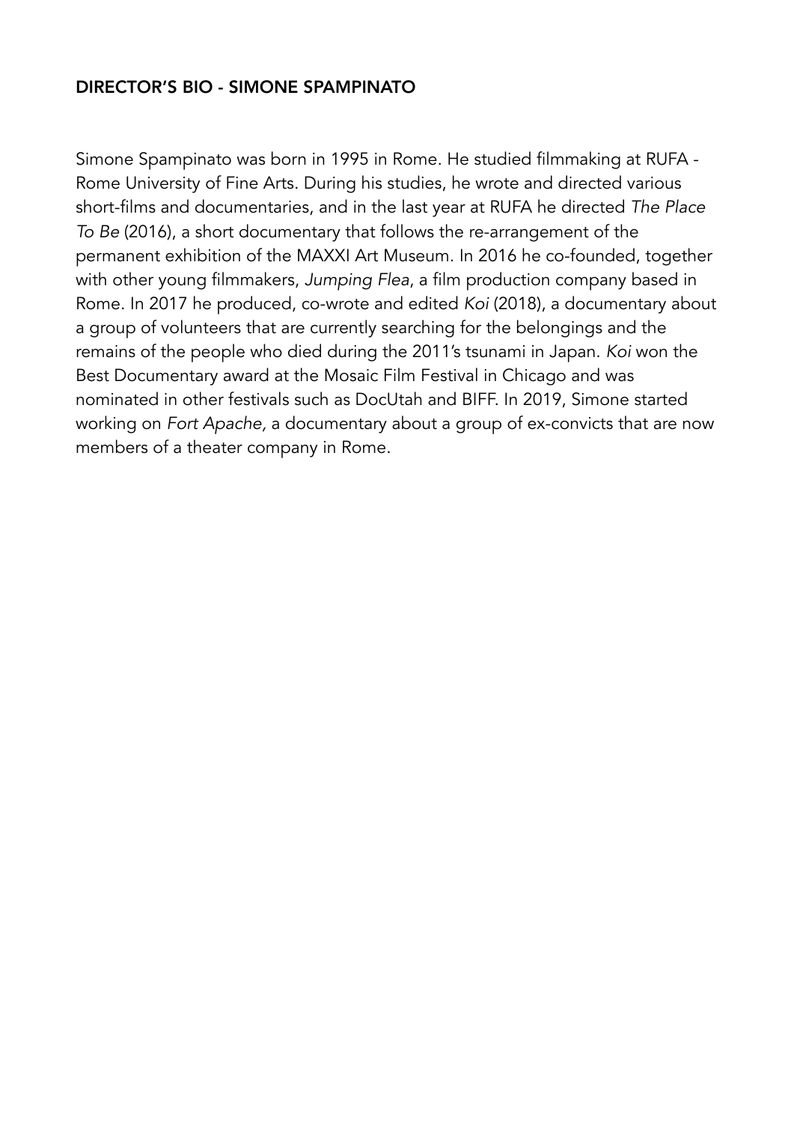#### DIRECTOR'S BIO - SIMONE SPAMPINATO

Simone Spampinato was born in 1995 in Rome. He studied filmmaking at RUFA - Rome University of Fine Arts. During his studies, he wrote and directed various short-films and documentaries, and in the last year at RUFA he directed *The Place To Be* (2016), a short documentary that follows the re-arrangement of the permanent exhibition of the MAXXI Art Museum. In 2016 he co-founded, together with other young filmmakers, *Jumping Flea*, a film production company based in Rome. In 2017 he produced, co-wrote and edited *Koi* (2018), a documentary about a group of volunteers that are currently searching for the belongings and the remains of the people who died during the 2011's tsunami in Japan. *Koi* won the Best Documentary award at the Mosaic Film Festival in Chicago and was nominated in other festivals such as DocUtah and BIFF. In 2019, Simone started working on *Fort Apache,* a documentary about a group of ex-convicts that are now members of a theater company in Rome.